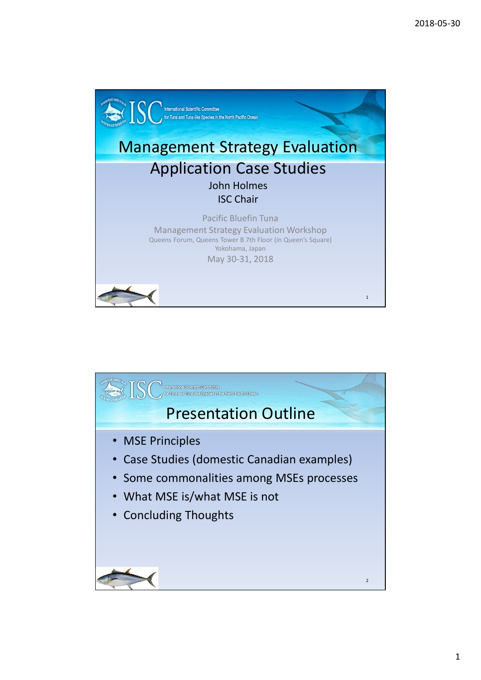

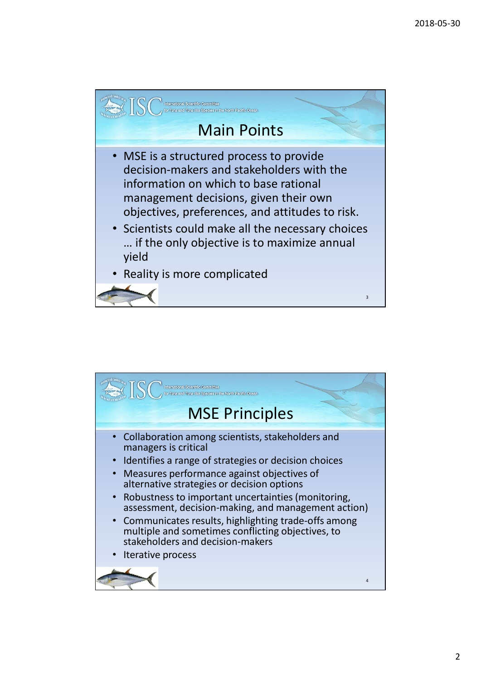

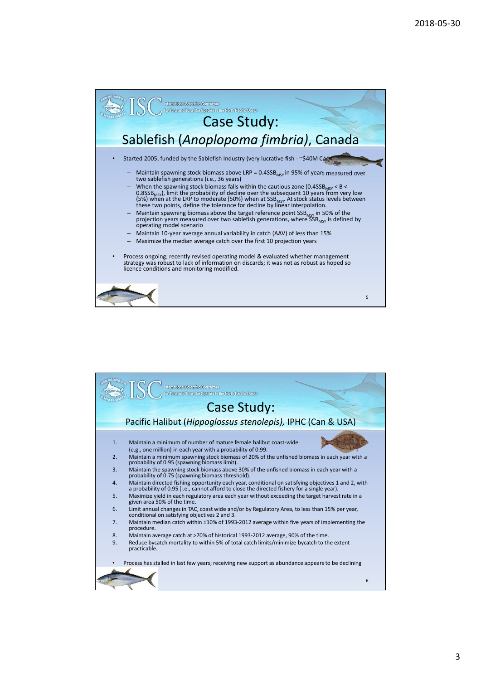

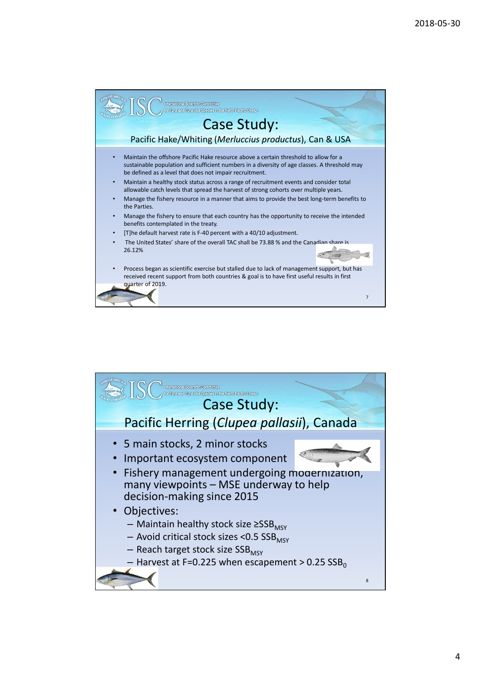

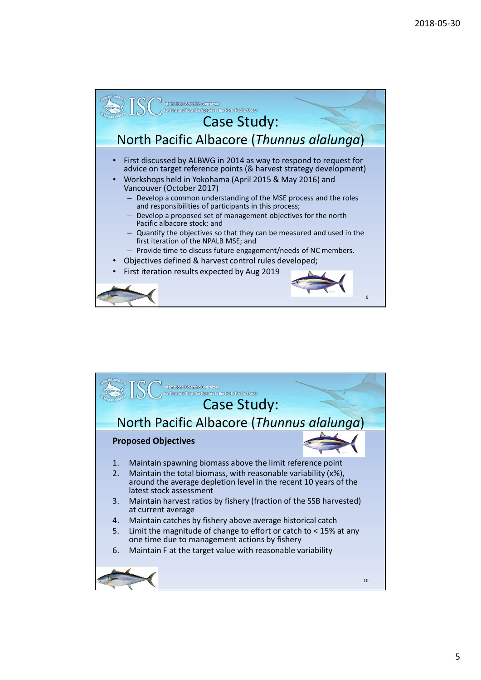

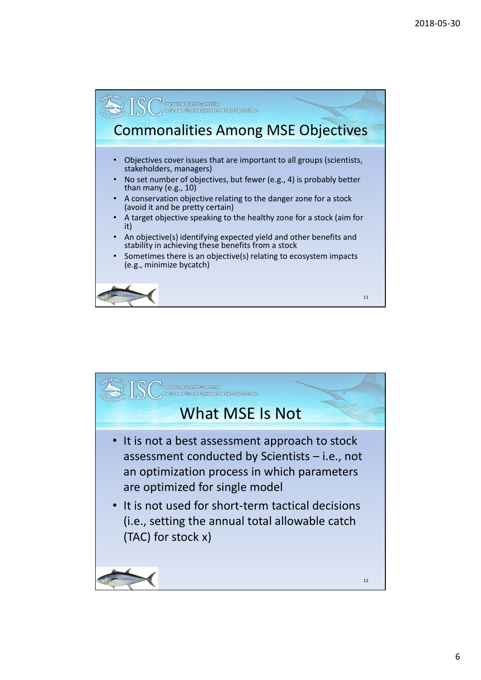

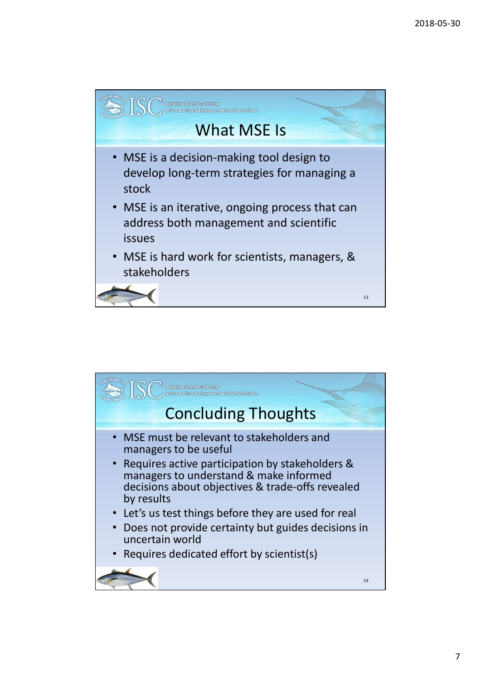